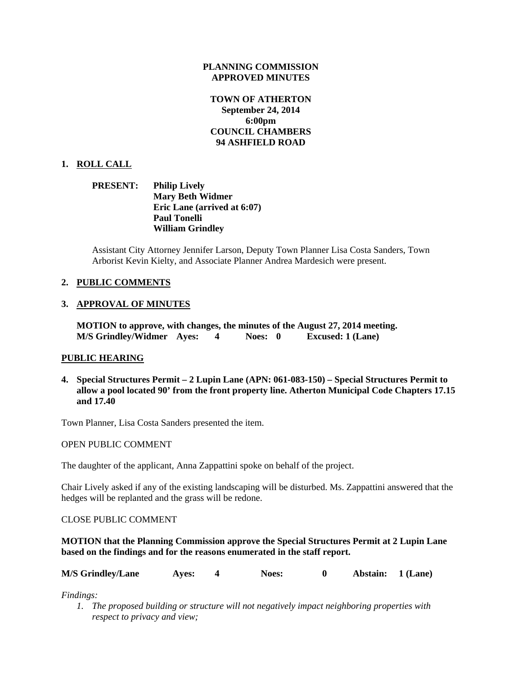### **PLANNING COMMISSION APPROVED MINUTES**

# **TOWN OF ATHERTON September 24, 2014 6:00pm COUNCIL CHAMBERS 94 ASHFIELD ROAD**

## **1. ROLL CALL**

## **PRESENT: Philip Lively Mary Beth Widmer Eric Lane (arrived at 6:07) Paul Tonelli William Grindley**

Assistant City Attorney Jennifer Larson, Deputy Town Planner Lisa Costa Sanders, Town Arborist Kevin Kielty, and Associate Planner Andrea Mardesich were present.

# **2. PUBLIC COMMENTS**

# **3. APPROVAL OF MINUTES**

**MOTION to approve, with changes, the minutes of the August 27, 2014 meeting. M/S Grindley/Widmer Ayes: 4 Noes: 0 Excused: 1 (Lane)** 

## **PUBLIC HEARING**

**4. Special Structures Permit – 2 Lupin Lane (APN: 061-083-150) – Special Structures Permit to allow a pool located 90' from the front property line. Atherton Municipal Code Chapters 17.15 and 17.40** 

Town Planner, Lisa Costa Sanders presented the item.

#### OPEN PUBLIC COMMENT

The daughter of the applicant, Anna Zappattini spoke on behalf of the project.

Chair Lively asked if any of the existing landscaping will be disturbed. Ms. Zappattini answered that the hedges will be replanted and the grass will be redone.

## CLOSE PUBLIC COMMENT

## **MOTION that the Planning Commission approve the Special Structures Permit at 2 Lupin Lane based on the findings and for the reasons enumerated in the staff report.**

| <b>M/S Grindley/Lane</b> | <b>Aves:</b> |  | <b>Noes:</b> |  | Abstain: 1 (Lane) |  |
|--------------------------|--------------|--|--------------|--|-------------------|--|
|--------------------------|--------------|--|--------------|--|-------------------|--|

*Findings:* 

*1. The proposed building or structure will not negatively impact neighboring properties with respect to privacy and view;*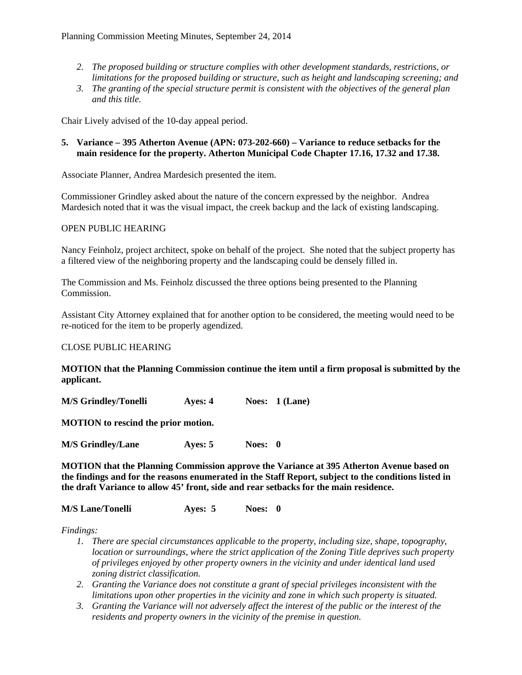- *2. The proposed building or structure complies with other development standards, restrictions, or limitations for the proposed building or structure, such as height and landscaping screening; and*
- *3. The granting of the special structure permit is consistent with the objectives of the general plan and this title.*

Chair Lively advised of the 10-day appeal period.

## **5. Variance – 395 Atherton Avenue (APN: 073-202-660) – Variance to reduce setbacks for the main residence for the property. Atherton Municipal Code Chapter 17.16, 17.32 and 17.38.**

Associate Planner, Andrea Mardesich presented the item.

Commissioner Grindley asked about the nature of the concern expressed by the neighbor. Andrea Mardesich noted that it was the visual impact, the creek backup and the lack of existing landscaping.

### OPEN PUBLIC HEARING

Nancy Feinholz, project architect, spoke on behalf of the project. She noted that the subject property has a filtered view of the neighboring property and the landscaping could be densely filled in.

The Commission and Ms. Feinholz discussed the three options being presented to the Planning Commission.

Assistant City Attorney explained that for another option to be considered, the meeting would need to be re-noticed for the item to be properly agendized.

## CLOSE PUBLIC HEARING

## **MOTION that the Planning Commission continue the item until a firm proposal is submitted by the applicant.**

**M/S Grindley/Tonelli Ayes: 4 Noes: 1 (Lane)** 

**MOTION to rescind the prior motion.** 

**M/S Grindley/Lane Ayes: 5 Noes: 0** 

**MOTION that the Planning Commission approve the Variance at 395 Atherton Avenue based on the findings and for the reasons enumerated in the Staff Report, subject to the conditions listed in the draft Variance to allow 45' front, side and rear setbacks for the main residence.** 

#### **M/S Lane/Tonelli Ayes: 5 Noes: 0**

*Findings:* 

- *1. There are special circumstances applicable to the property, including size, shape, topography, location or surroundings, where the strict application of the Zoning Title deprives such property of privileges enjoyed by other property owners in the vicinity and under identical land used zoning district classification.*
- *2. Granting the Variance does not constitute a grant of special privileges inconsistent with the limitations upon other properties in the vicinity and zone in which such property is situated.*
- *3. Granting the Variance will not adversely affect the interest of the public or the interest of the residents and property owners in the vicinity of the premise in question.*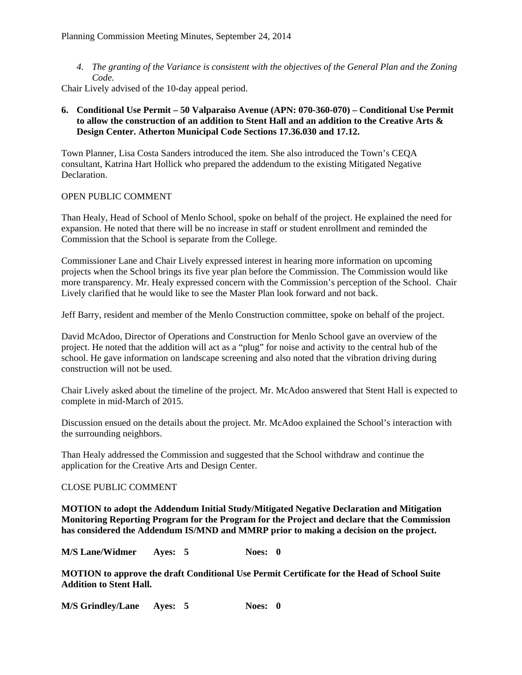*4. The granting of the Variance is consistent with the objectives of the General Plan and the Zoning Code.* 

Chair Lively advised of the 10-day appeal period.

# **6. Conditional Use Permit – 50 Valparaiso Avenue (APN: 070-360-070) – Conditional Use Permit to allow the construction of an addition to Stent Hall and an addition to the Creative Arts & Design Center. Atherton Municipal Code Sections 17.36.030 and 17.12.**

Town Planner, Lisa Costa Sanders introduced the item. She also introduced the Town's CEQA consultant, Katrina Hart Hollick who prepared the addendum to the existing Mitigated Negative Declaration.

## OPEN PUBLIC COMMENT

Than Healy, Head of School of Menlo School, spoke on behalf of the project. He explained the need for expansion. He noted that there will be no increase in staff or student enrollment and reminded the Commission that the School is separate from the College.

Commissioner Lane and Chair Lively expressed interest in hearing more information on upcoming projects when the School brings its five year plan before the Commission. The Commission would like more transparency. Mr. Healy expressed concern with the Commission's perception of the School. Chair Lively clarified that he would like to see the Master Plan look forward and not back.

Jeff Barry, resident and member of the Menlo Construction committee, spoke on behalf of the project.

David McAdoo, Director of Operations and Construction for Menlo School gave an overview of the project. He noted that the addition will act as a "plug" for noise and activity to the central hub of the school. He gave information on landscape screening and also noted that the vibration driving during construction will not be used.

Chair Lively asked about the timeline of the project. Mr. McAdoo answered that Stent Hall is expected to complete in mid-March of 2015.

Discussion ensued on the details about the project. Mr. McAdoo explained the School's interaction with the surrounding neighbors.

Than Healy addressed the Commission and suggested that the School withdraw and continue the application for the Creative Arts and Design Center.

## CLOSE PUBLIC COMMENT

**MOTION to adopt the Addendum Initial Study/Mitigated Negative Declaration and Mitigation Monitoring Reporting Program for the Program for the Project and declare that the Commission has considered the Addendum IS/MND and MMRP prior to making a decision on the project.** 

**M/S Lane/Widmer Ayes: 5 Noes: 0** 

**MOTION to approve the draft Conditional Use Permit Certificate for the Head of School Suite Addition to Stent Hall.** 

**M/S Grindley/Lane Ayes: 5 Noes: 0**